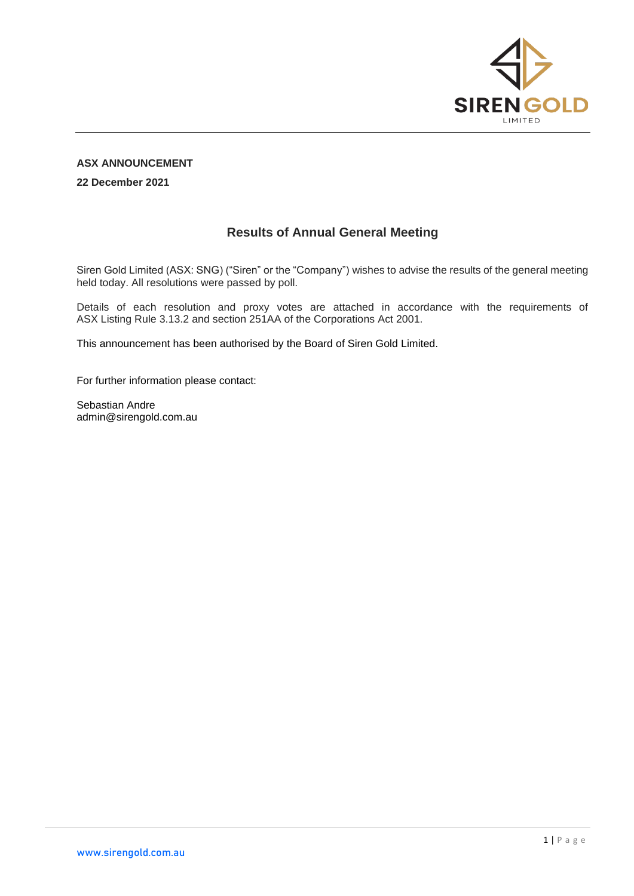

## **ASX ANNOUNCEMENT**

**22 December 2021**

## **Results of Annual General Meeting**

Siren Gold Limited (ASX: SNG) ("Siren" or the "Company") wishes to advise the results of the general meeting held today. All resolutions were passed by poll.

Details of each resolution and proxy votes are attached in accordance with the requirements of ASX Listing Rule 3.13.2 and section 251AA of the Corporations Act 2001.

This announcement has been authorised by the Board of Siren Gold Limited.

For further information please contact:

Sebastian Andre admin@sirengold.com.au